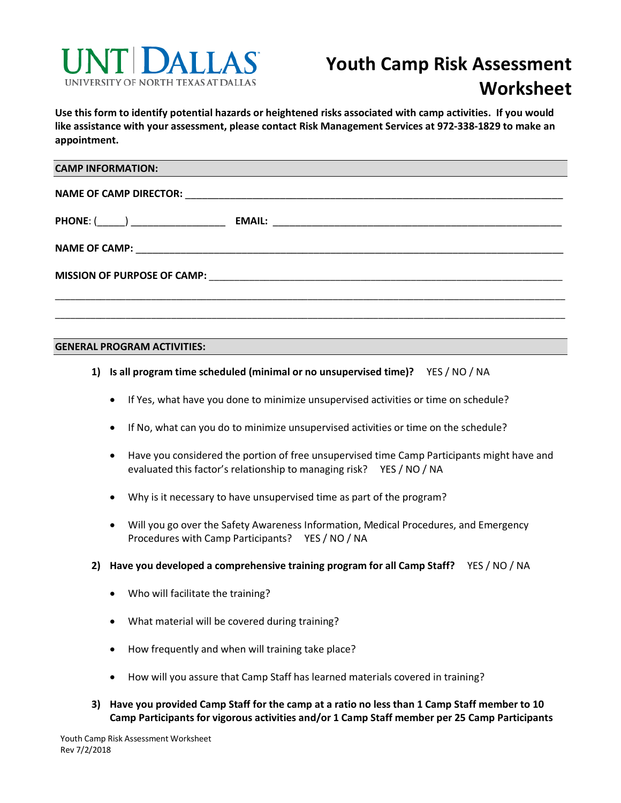

**Use this form to identify potential hazards or heightened risks associated with camp activities. If you would like assistance with your assessment, please contact Risk Management Services at 972-338-1829 to make an appointment.**

| <b>CAMP INFORMATION:</b> |  |
|--------------------------|--|
|                          |  |
| $PHONE: (\_\_)$          |  |
|                          |  |
|                          |  |
|                          |  |

#### **GENERAL PROGRAM ACTIVITIES:**

- **1) Is all program time scheduled (minimal or no unsupervised time)?** YES / NO / NA
	- If Yes, what have you done to minimize unsupervised activities or time on schedule?
	- If No, what can you do to minimize unsupervised activities or time on the schedule?
	- Have you considered the portion of free unsupervised time Camp Participants might have and evaluated this factor's relationship to managing risk?YES / NO / NA
	- Why is it necessary to have unsupervised time as part of the program?
	- Will you go over the Safety Awareness Information, Medical Procedures, and Emergency Procedures with Camp Participants? YES / NO / NA
- **2) Have you developed a comprehensive training program for all Camp Staff?** YES / NO / NA
	- Who will facilitate the training?
	- What material will be covered during training?
	- How frequently and when will training take place?
	- How will you assure that Camp Staff has learned materials covered in training?
- **3) Have you provided Camp Staff for the camp at a ratio no less than 1 Camp Staff member to 10 Camp Participants for vigorous activities and/or 1 Camp Staff member per 25 Camp Participants**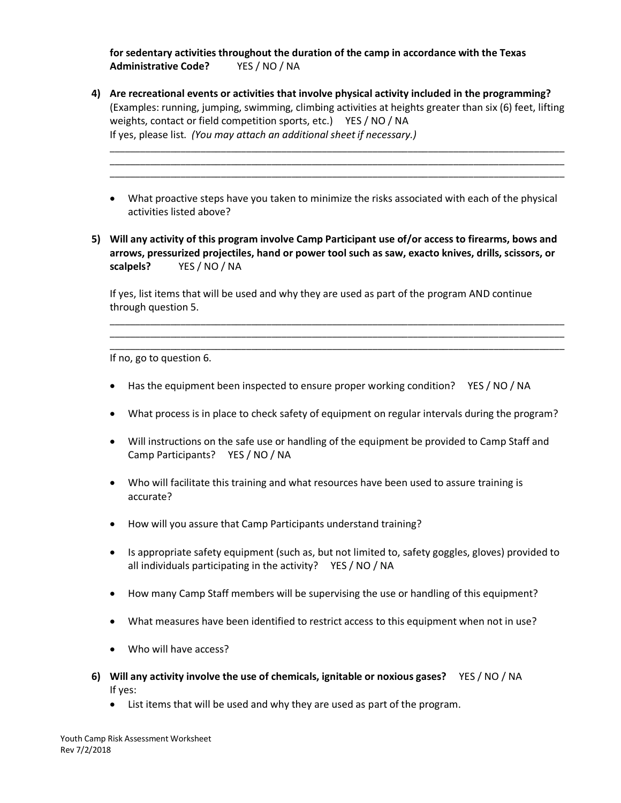**for sedentary activities throughout the duration of the camp in accordance with the Texas Administrative Code?** YES / NO / NA

**4) Are recreational events or activities that involve physical activity included in the programming?**  (Examples: running, jumping, swimming, climbing activities at heights greater than six (6) feet, lifting weights, contact or field competition sports, etc.) YES / NO / NA If yes, please list. *(You may attach an additional sheet if necessary.)*

\_\_\_\_\_\_\_\_\_\_\_\_\_\_\_\_\_\_\_\_\_\_\_\_\_\_\_\_\_\_\_\_\_\_\_\_\_\_\_\_\_\_\_\_\_\_\_\_\_\_\_\_\_\_\_\_\_\_\_\_\_\_\_\_\_\_\_\_\_\_\_\_\_\_\_\_\_\_\_\_\_\_\_\_\_\_\_\_\_\_ \_\_\_\_\_\_\_\_\_\_\_\_\_\_\_\_\_\_\_\_\_\_\_\_\_\_\_\_\_\_\_\_\_\_\_\_\_\_\_\_\_\_\_\_\_\_\_\_\_\_\_\_\_\_\_\_\_\_\_\_\_\_\_\_\_\_\_\_\_\_\_\_\_\_\_\_\_\_\_\_\_\_\_\_\_\_\_\_\_\_ \_\_\_\_\_\_\_\_\_\_\_\_\_\_\_\_\_\_\_\_\_\_\_\_\_\_\_\_\_\_\_\_\_\_\_\_\_\_\_\_\_\_\_\_\_\_\_\_\_\_\_\_\_\_\_\_\_\_\_\_\_\_\_\_\_\_\_\_\_\_\_\_\_\_\_\_\_\_\_\_\_\_\_\_\_\_\_\_\_\_

- What proactive steps have you taken to minimize the risks associated with each of the physical activities listed above?
- **5) Will any activity of this program involve Camp Participant use of/or access to firearms, bows and arrows, pressurized projectiles, hand or power tool such as saw, exacto knives, drills, scissors, or scalpels?** YES / NO / NA

If yes, list items that will be used and why they are used as part of the program AND continue through question 5.

\_\_\_\_\_\_\_\_\_\_\_\_\_\_\_\_\_\_\_\_\_\_\_\_\_\_\_\_\_\_\_\_\_\_\_\_\_\_\_\_\_\_\_\_\_\_\_\_\_\_\_\_\_\_\_\_\_\_\_\_\_\_\_\_\_\_\_\_\_\_\_\_\_\_\_\_\_\_\_\_\_\_\_\_\_\_\_\_\_\_ \_\_\_\_\_\_\_\_\_\_\_\_\_\_\_\_\_\_\_\_\_\_\_\_\_\_\_\_\_\_\_\_\_\_\_\_\_\_\_\_\_\_\_\_\_\_\_\_\_\_\_\_\_\_\_\_\_\_\_\_\_\_\_\_\_\_\_\_\_\_\_\_\_\_\_\_\_\_\_\_\_\_\_\_\_\_\_\_\_\_ \_\_\_\_\_\_\_\_\_\_\_\_\_\_\_\_\_\_\_\_\_\_\_\_\_\_\_\_\_\_\_\_\_\_\_\_\_\_\_\_\_\_\_\_\_\_\_\_\_\_\_\_\_\_\_\_\_\_\_\_\_\_\_\_\_\_\_\_\_\_\_\_\_\_\_\_\_\_\_\_\_\_\_\_\_\_\_\_\_\_

If no, go to question 6.

- Has the equipment been inspected to ensure proper working condition? YES / NO / NA
- What process is in place to check safety of equipment on regular intervals during the program?
- Will instructions on the safe use or handling of the equipment be provided to Camp Staff and Camp Participants? YES / NO / NA
- Who will facilitate this training and what resources have been used to assure training is accurate?
- How will you assure that Camp Participants understand training?
- Is appropriate safety equipment (such as, but not limited to, safety goggles, gloves) provided to all individuals participating in the activity? YES / NO / NA
- How many Camp Staff members will be supervising the use or handling of this equipment?
- What measures have been identified to restrict access to this equipment when not in use?
- Who will have access?
- **6) Will any activity involve the use of chemicals, ignitable or noxious gases?** YES / NO / NA If yes:
	- List items that will be used and why they are used as part of the program.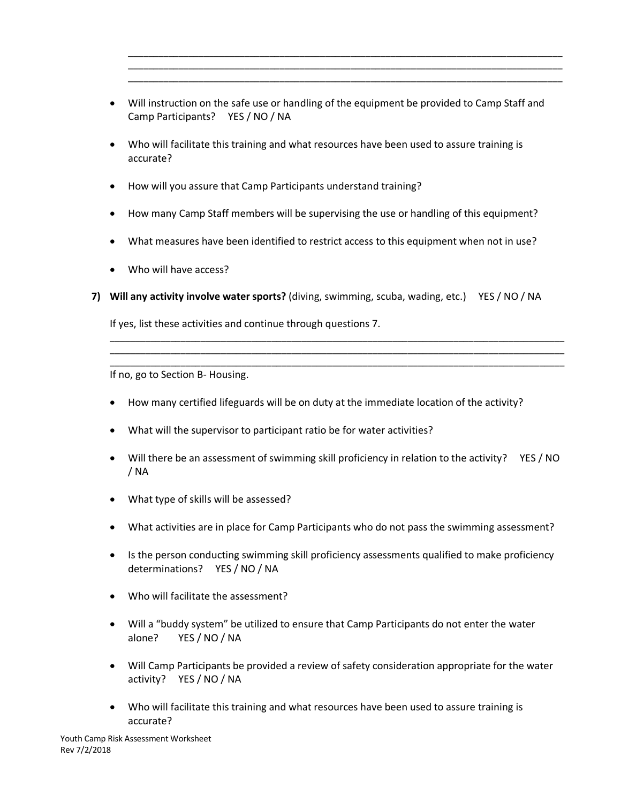• Will instruction on the safe use or handling of the equipment be provided to Camp Staff and Camp Participants? YES / NO / NA

\_\_\_\_\_\_\_\_\_\_\_\_\_\_\_\_\_\_\_\_\_\_\_\_\_\_\_\_\_\_\_\_\_\_\_\_\_\_\_\_\_\_\_\_\_\_\_\_\_\_\_\_\_\_\_\_\_\_\_\_\_\_\_\_\_\_\_\_\_\_\_\_\_\_\_\_\_\_\_\_\_\_\_\_\_\_ \_\_\_\_\_\_\_\_\_\_\_\_\_\_\_\_\_\_\_\_\_\_\_\_\_\_\_\_\_\_\_\_\_\_\_\_\_\_\_\_\_\_\_\_\_\_\_\_\_\_\_\_\_\_\_\_\_\_\_\_\_\_\_\_\_\_\_\_\_\_\_\_\_\_\_\_\_\_\_\_\_\_\_\_\_\_ \_\_\_\_\_\_\_\_\_\_\_\_\_\_\_\_\_\_\_\_\_\_\_\_\_\_\_\_\_\_\_\_\_\_\_\_\_\_\_\_\_\_\_\_\_\_\_\_\_\_\_\_\_\_\_\_\_\_\_\_\_\_\_\_\_\_\_\_\_\_\_\_\_\_\_\_\_\_\_\_\_\_\_\_\_\_

- Who will facilitate this training and what resources have been used to assure training is accurate?
- How will you assure that Camp Participants understand training?
- How many Camp Staff members will be supervising the use or handling of this equipment?
- What measures have been identified to restrict access to this equipment when not in use?
- Who will have access?
- **7) Will any activity involve water sports?** (diving, swimming, scuba, wading, etc.) YES / NO / NA

If yes, list these activities and continue through questions 7.

If no, go to Section B- Housing.

- How many certified lifeguards will be on duty at the immediate location of the activity?
- What will the supervisor to participant ratio be for water activities?
- Will there be an assessment of swimming skill proficiency in relation to the activity? YES / NO / NA

\_\_\_\_\_\_\_\_\_\_\_\_\_\_\_\_\_\_\_\_\_\_\_\_\_\_\_\_\_\_\_\_\_\_\_\_\_\_\_\_\_\_\_\_\_\_\_\_\_\_\_\_\_\_\_\_\_\_\_\_\_\_\_\_\_\_\_\_\_\_\_\_\_\_\_\_\_\_\_\_\_\_\_\_\_\_\_\_\_\_ \_\_\_\_\_\_\_\_\_\_\_\_\_\_\_\_\_\_\_\_\_\_\_\_\_\_\_\_\_\_\_\_\_\_\_\_\_\_\_\_\_\_\_\_\_\_\_\_\_\_\_\_\_\_\_\_\_\_\_\_\_\_\_\_\_\_\_\_\_\_\_\_\_\_\_\_\_\_\_\_\_\_\_\_\_\_\_\_\_\_ \_\_\_\_\_\_\_\_\_\_\_\_\_\_\_\_\_\_\_\_\_\_\_\_\_\_\_\_\_\_\_\_\_\_\_\_\_\_\_\_\_\_\_\_\_\_\_\_\_\_\_\_\_\_\_\_\_\_\_\_\_\_\_\_\_\_\_\_\_\_\_\_\_\_\_\_\_\_\_\_\_\_\_\_\_\_\_\_\_\_

- What type of skills will be assessed?
- What activities are in place for Camp Participants who do not pass the swimming assessment?
- Is the person conducting swimming skill proficiency assessments qualified to make proficiency determinations? YES / NO / NA
- Who will facilitate the assessment?
- Will a "buddy system" be utilized to ensure that Camp Participants do not enter the water alone?YES / NO / NA
- Will Camp Participants be provided a review of safety consideration appropriate for the water activity? YES / NO / NA
- Who will facilitate this training and what resources have been used to assure training is accurate?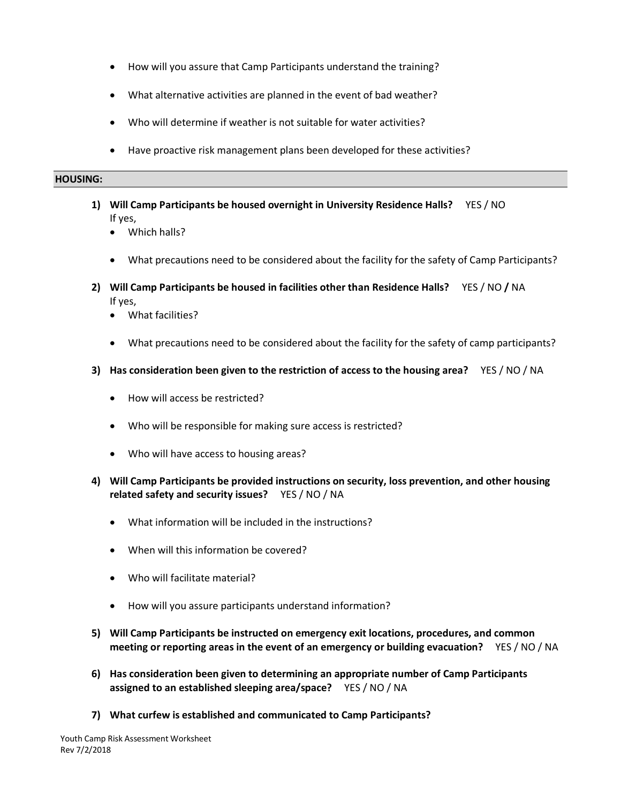- How will you assure that Camp Participants understand the training?
- What alternative activities are planned in the event of bad weather?
- Who will determine if weather is not suitable for water activities?
- Have proactive risk management plans been developed for these activities?

#### **HOUSING:**

- **1) Will Camp Participants be housed overnight in University Residence Halls?** YES / NO If yes,
	- Which halls?
	- What precautions need to be considered about the facility for the safety of Camp Participants?
- **2) Will Camp Participants be housed in facilities other than Residence Halls?** YES / NO **/** NA If yes,
	- What facilities?
	- What precautions need to be considered about the facility for the safety of camp participants?
- **3) Has consideration been given to the restriction of access to the housing area?** YES / NO / NA
	- How will access be restricted?
	- Who will be responsible for making sure access is restricted?
	- Who will have access to housing areas?
- **4) Will Camp Participants be provided instructions on security, loss prevention, and other housing related safety and security issues?** YES / NO / NA
	- What information will be included in the instructions?
	- When will this information be covered?
	- Who will facilitate material?
	- How will you assure participants understand information?
- **5) Will Camp Participants be instructed on emergency exit locations, procedures, and common meeting or reporting areas in the event of an emergency or building evacuation?** YES / NO / NA
- **6) Has consideration been given to determining an appropriate number of Camp Participants assigned to an established sleeping area/space?** YES / NO / NA
- **7) What curfew is established and communicated to Camp Participants?**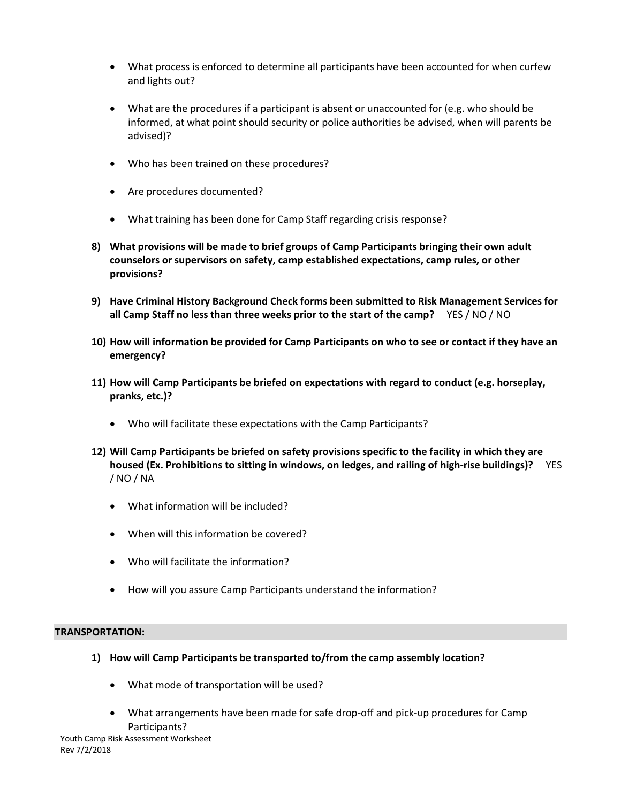- What process is enforced to determine all participants have been accounted for when curfew and lights out?
- What are the procedures if a participant is absent or unaccounted for (e.g. who should be informed, at what point should security or police authorities be advised, when will parents be advised)?
- Who has been trained on these procedures?
- Are procedures documented?
- What training has been done for Camp Staff regarding crisis response?
- **8) What provisions will be made to brief groups of Camp Participants bringing their own adult counselors or supervisors on safety, camp established expectations, camp rules, or other provisions?**
- **9) Have Criminal History Background Check forms been submitted to Risk Management Services for all Camp Staff no less than three weeks prior to the start of the camp?** YES / NO / NO
- **10) How will information be provided for Camp Participants on who to see or contact if they have an emergency?**
- **11) How will Camp Participants be briefed on expectations with regard to conduct (e.g. horseplay, pranks, etc.)?**
	- Who will facilitate these expectations with the Camp Participants?
- **12) Will Camp Participants be briefed on safety provisions specific to the facility in which they are housed (Ex. Prohibitions to sitting in windows, on ledges, and railing of high-rise buildings)?** YES / NO / NA
	- What information will be included?
	- When will this information be covered?
	- Who will facilitate the information?
	- How will you assure Camp Participants understand the information?

## **TRANSPORTATION:**

- **1) How will Camp Participants be transported to/from the camp assembly location?** 
	- What mode of transportation will be used?
	- What arrangements have been made for safe drop-off and pick-up procedures for Camp Participants?

Youth Camp Risk Assessment Worksheet Rev 7/2/2018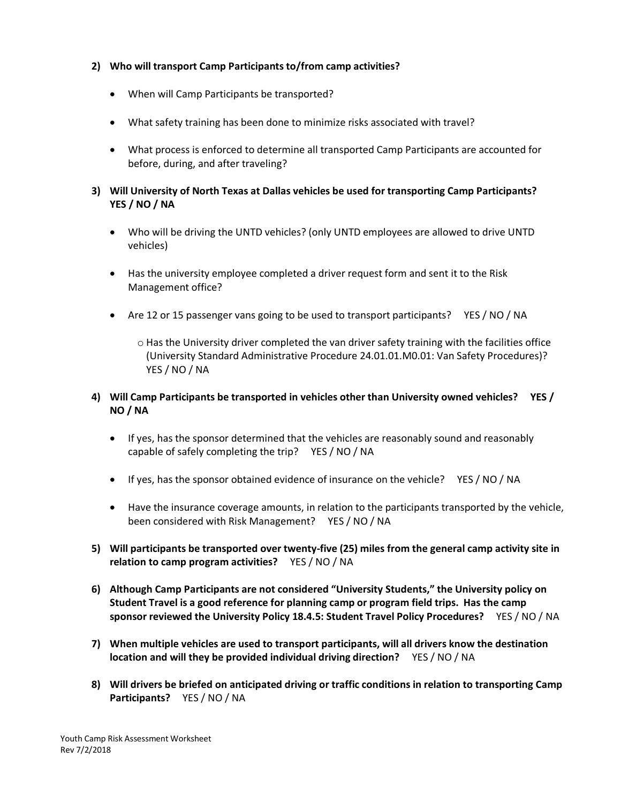# **2) Who will transport Camp Participants to/from camp activities?**

- When will Camp Participants be transported?
- What safety training has been done to minimize risks associated with travel?
- What process is enforced to determine all transported Camp Participants are accounted for before, during, and after traveling?

# **3) Will University of North Texas at Dallas vehicles be used for transporting Camp Participants? YES / NO / NA**

- Who will be driving the UNTD vehicles? (only UNTD employees are allowed to drive UNTD vehicles)
- Has the university employee completed a driver request form and sent it to the Risk Management office?
- Are 12 or 15 passenger vans going to be used to transport participants? YES / NO / NA
	- $\circ$  Has the University driver completed the van driver safety training with the facilities office (University Standard Administrative Procedure 24.01.01.M0.01: Van Safety Procedures)? YES / NO / NA
- **4) Will Camp Participants be transported in vehicles other than University owned vehicles? YES / NO / NA**
	- If yes, has the sponsor determined that the vehicles are reasonably sound and reasonably capable of safely completing the trip? YES / NO / NA
	- If yes, has the sponsor obtained evidence of insurance on the vehicle? YES / NO / NA
	- Have the insurance coverage amounts, in relation to the participants transported by the vehicle, been considered with Risk Management? YES / NO / NA
- **5) Will participants be transported over twenty-five (25) miles from the general camp activity site in relation to camp program activities?** YES / NO / NA
- **6) Although Camp Participants are not considered "University Students," the University policy on Student Travel is a good reference for planning camp or program field trips. Has the camp sponsor reviewed the University Policy 18.4.5: Student Travel Policy Procedures?** YES / NO / NA
- **7) When multiple vehicles are used to transport participants, will all drivers know the destination location and will they be provided individual driving direction?** YES / NO / NA
- **8) Will drivers be briefed on anticipated driving or traffic conditions in relation to transporting Camp Participants?** YES / NO / NA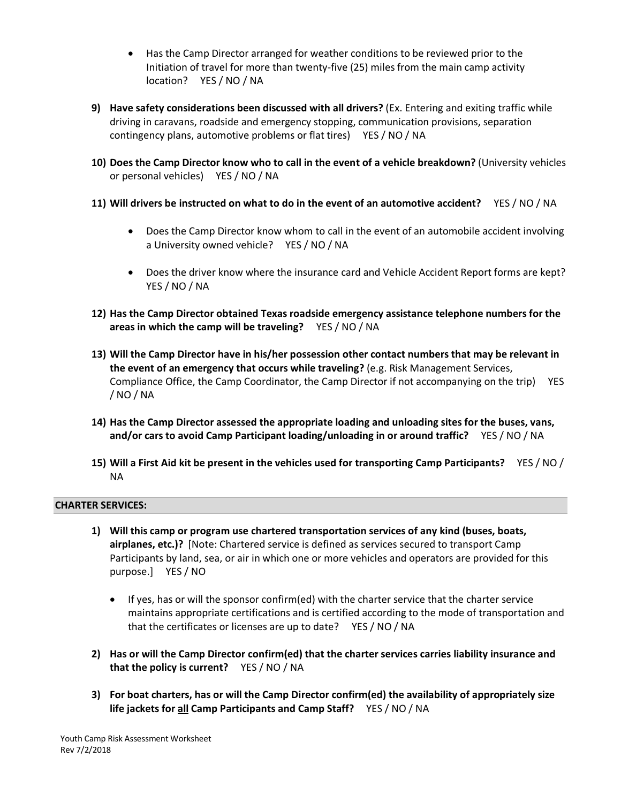- Has the Camp Director arranged for weather conditions to be reviewed prior to the Initiation of travel for more than twenty-five (25) miles from the main camp activity location? YES / NO / NA
- **9) Have safety considerations been discussed with all drivers?** (Ex. Entering and exiting traffic while driving in caravans, roadside and emergency stopping, communication provisions, separation contingency plans, automotive problems or flat tires) YES / NO / NA
- **10) Does the Camp Director know who to call in the event of a vehicle breakdown?** (University vehicles or personal vehicles) YES / NO / NA
- **11) Will drivers be instructed on what to do in the event of an automotive accident?** YES / NO / NA
	- Does the Camp Director know whom to call in the event of an automobile accident involving a University owned vehicle? YES / NO / NA
	- Does the driver know where the insurance card and Vehicle Accident Report forms are kept? YES / NO / NA
- **12) Has the Camp Director obtained Texas roadside emergency assistance telephone numbers for the areas in which the camp will be traveling?** YES / NO / NA
- **13) Will the Camp Director have in his/her possession other contact numbers that may be relevant in the event of an emergency that occurs while traveling?** (e.g. Risk Management Services, Compliance Office, the Camp Coordinator, the Camp Director if not accompanying on the trip) YES / NO / NA
- **14) Has the Camp Director assessed the appropriate loading and unloading sites for the buses, vans, and/or cars to avoid Camp Participant loading/unloading in or around traffic?** YES / NO / NA
- **15) Will a First Aid kit be present in the vehicles used for transporting Camp Participants?** YES / NO / NA

## **CHARTER SERVICES:**

- **1) Will this camp or program use chartered transportation services of any kind (buses, boats, airplanes, etc.)?** [Note: Chartered service is defined as services secured to transport Camp Participants by land, sea, or air in which one or more vehicles and operators are provided for this purpose.] YES / NO
	- If yes, has or will the sponsor confirm(ed) with the charter service that the charter service maintains appropriate certifications and is certified according to the mode of transportation and that the certificates or licenses are up to date? YES / NO / NA
- **2) Has or will the Camp Director confirm(ed) that the charter services carries liability insurance and that the policy is current?** YES / NO / NA
- **3) For boat charters, has or will the Camp Director confirm(ed) the availability of appropriately size life jackets for all Camp Participants and Camp Staff?** YES / NO / NA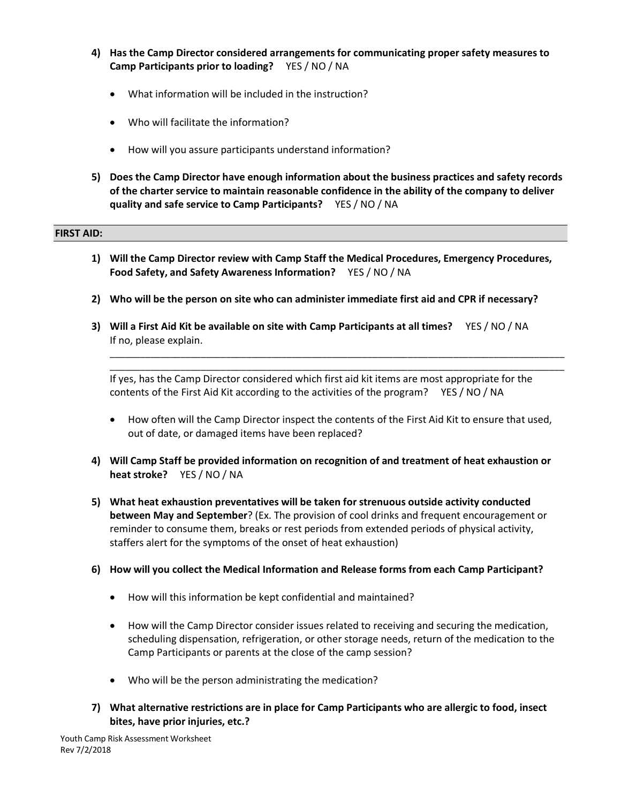- **4) Has the Camp Director considered arrangements for communicating proper safety measures to Camp Participants prior to loading?** YES / NO / NA
	- What information will be included in the instruction?
	- Who will facilitate the information?
	- How will you assure participants understand information?
- **5) Does the Camp Director have enough information about the business practices and safety records of the charter service to maintain reasonable confidence in the ability of the company to deliver quality and safe service to Camp Participants?** YES / NO / NA

## **FIRST AID:**

- **1) Will the Camp Director review with Camp Staff the Medical Procedures, Emergency Procedures, Food Safety, and Safety Awareness Information?** YES / NO / NA
- **2) Who will be the person on site who can administer immediate first aid and CPR if necessary?**
- **3) Will a First Aid Kit be available on site with Camp Participants at all times?** YES / NO / NA If no, please explain.

If yes, has the Camp Director considered which first aid kit items are most appropriate for the contents of the First Aid Kit according to the activities of the program? YES / NO / NA

• How often will the Camp Director inspect the contents of the First Aid Kit to ensure that used, out of date, or damaged items have been replaced?

\_\_\_\_\_\_\_\_\_\_\_\_\_\_\_\_\_\_\_\_\_\_\_\_\_\_\_\_\_\_\_\_\_\_\_\_\_\_\_\_\_\_\_\_\_\_\_\_\_\_\_\_\_\_\_\_\_\_\_\_\_\_\_\_\_\_\_\_\_\_\_\_\_\_\_\_\_\_\_\_\_\_\_\_\_\_\_\_\_\_ \_\_\_\_\_\_\_\_\_\_\_\_\_\_\_\_\_\_\_\_\_\_\_\_\_\_\_\_\_\_\_\_\_\_\_\_\_\_\_\_\_\_\_\_\_\_\_\_\_\_\_\_\_\_\_\_\_\_\_\_\_\_\_\_\_\_\_\_\_\_\_\_\_\_\_\_\_\_\_\_\_\_\_\_\_\_\_\_\_\_

- **4) Will Camp Staff be provided information on recognition of and treatment of heat exhaustion or heat stroke?** YES / NO / NA
- **5) What heat exhaustion preventatives will be taken for strenuous outside activity conducted between May and September**? (Ex. The provision of cool drinks and frequent encouragement or reminder to consume them, breaks or rest periods from extended periods of physical activity, staffers alert for the symptoms of the onset of heat exhaustion)
- **6) How will you collect the Medical Information and Release forms from each Camp Participant?**
	- How will this information be kept confidential and maintained?
	- How will the Camp Director consider issues related to receiving and securing the medication, scheduling dispensation, refrigeration, or other storage needs, return of the medication to the Camp Participants or parents at the close of the camp session?
	- Who will be the person administrating the medication?
- **7) What alternative restrictions are in place for Camp Participants who are allergic to food, insect bites, have prior injuries, etc.?**